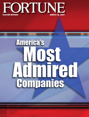

## **America's** IST **Admired**